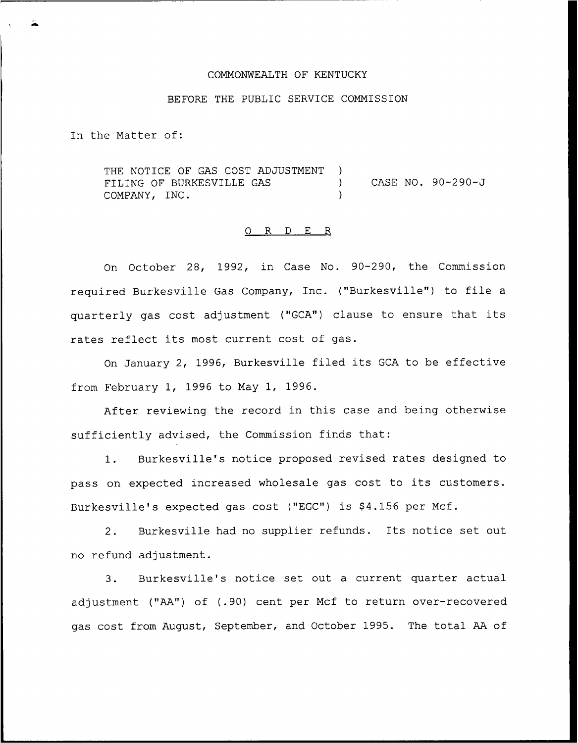#### COMMONWEALTH OF KENTUCKY

## BEFORE THE PUBLIC SERVICE COMMISSION

In the Matter of:

THE NOTICE OF GAS COST ADJUSTMENT ) FILING OF BURKESVILLE GAS )<br>COMPANY. INC. COMPANY, INC. CASE NO. 90-290-J

#### 0 R <sup>D</sup> E R

On October 28, 1992, in Case No. 90-290, the Commission required Burkesville Gas Company, Inc. ("Burkesville") to file <sup>a</sup> quarterly gas cost adjustment ("GCA") clause to ensure that its rates reflect its most current cost of gas.

On January 2, 1996, Burkesville filed its GCA to be effective from February 1, 1996 to May 1, 1996.

After reviewing the record in this case and being otherwise sufficiently advised, the Commission finds that:

1. Burkesville's notice proposed revised rates designed to pass on expected increased wholesale gas cost to its customers. Burkesville's expected gas cost ("EGC") is \$4.156 per Mcf.

2. Burkesville had no supplier refunds. Its notice set out no refund adjustment.

3. Burkesville's notice set out <sup>a</sup> current quarter actual adjustment ("AA") of (.90) cent per Mcf to return over-recovered gas cost from August, September, and October 1995. The total AA of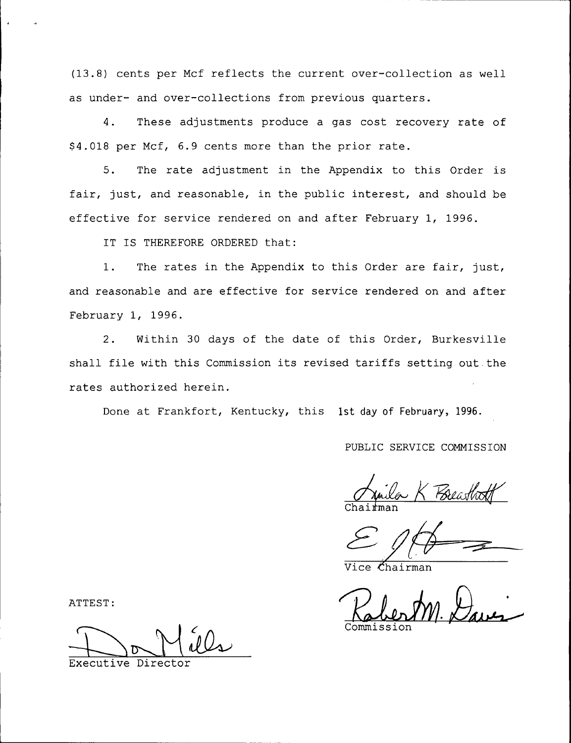(13.8) cents per Mcf reflects the current over-collection as well as under- and over-collections from previous quarters.

4. These adjustments produce a gas cost recovery rate of \$ 4.018 per Mcf, 6.9 cents more than the prior rate.

5. The rate adjustment in the Appendix to this Order is fair, just, and reasonable, in the public interest, and should be effective for service rendered on and after February 1, 1996.

IT IS THEREFORE ORDERED that:

1. The rates in the Appendix to this Order are fair, just, and reasonable and are effective for service rendered on and after February 1, 1996.

2. Within 30 days of the date of this Order, Burkesville shall file with this Commission its revised tariffs setting out the rates authorized herein.

Done at Frankfort, Kentucky, this 1st day of February, 1996.

PUBLIC SERVICE COMMISSION

- K *Holas*i  ${\tt Chaifma}$ 

 $\mathcal{L}$ hairman

Commissic

ATTEST:

Executive Direc